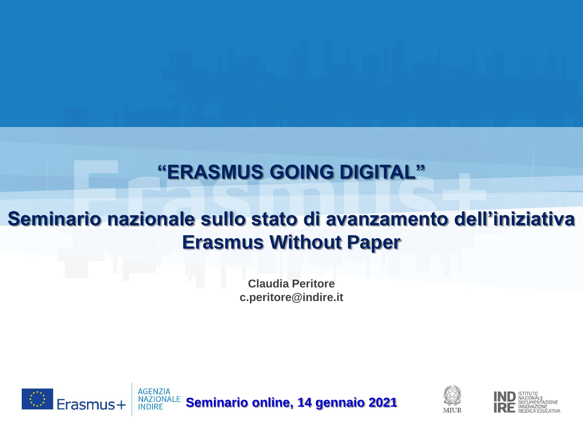#### **"ERASMUS GOING DIGITAL"**

#### **Seminario nazionale sullo stato di avanzamento dell'iniziativa Erasmus Without Paper**

**Claudia Peritore c.peritore@indire.it**





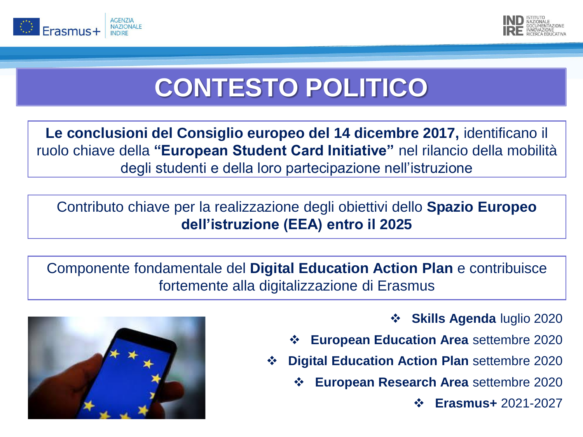



## **CONTESTO POLITICO**

**Le conclusioni del Consiglio europeo del 14 dicembre 2017,** identificano il ruolo chiave della **"European Student Card Initiative"** nel rilancio della mobilità degli studenti e della loro partecipazione nell'istruzione

Contributo chiave per la realizzazione degli obiettivi dello **Spazio Europeo dell'istruzione (EEA) entro il 2025**

Componente fondamentale del **Digital Education Action Plan** e contribuisce fortemente alla digitalizzazione di Erasmus



❖ **Skills Agenda** luglio 2020

- ❖ **European Education Area** settembre 2020
- ❖ **Digital Education Action Plan** settembre 2020
	- ❖ **European Research Area** settembre 2020
		- ❖ **Erasmus+** 2021-2027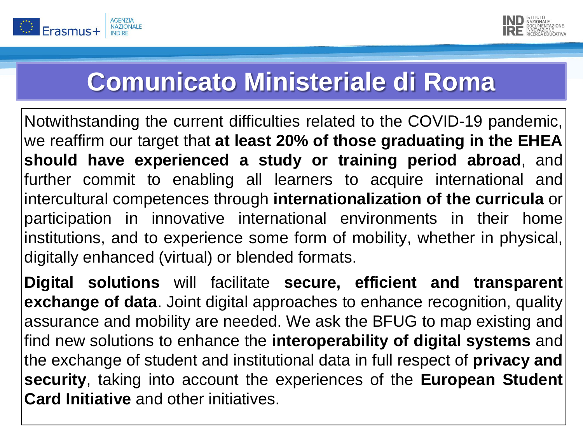



### **Comunicato Ministeriale di Roma**

Notwithstanding the current difficulties related to the COVID-19 pandemic, we reaffirm our target that **at least 20% of those graduating in the EHEA should have experienced a study or training period abroad**, and further commit to enabling all learners to acquire international and intercultural competences through **internationalization of the curricula** or participation in innovative international environments in their home institutions, and to experience some form of mobility, whether in physical, digitally enhanced (virtual) or blended formats.

**Digital solutions** will facilitate **secure, efficient and transparent exchange of data**. Joint digital approaches to enhance recognition, quality assurance and mobility are needed. We ask the BFUG to map existing and find new solutions to enhance the **interoperability of digital systems** and the exchange of student and institutional data in full respect of **privacy and security**, taking into account the experiences of the **European Student Card Initiative** and other initiatives.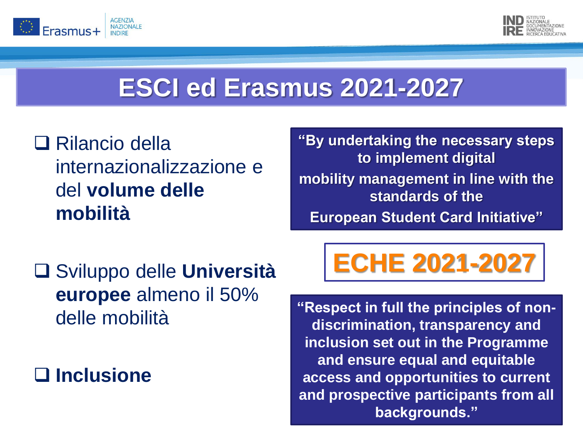



### **ESCI ed Erasmus 2021-2027**

#### ❑ Rilancio della internazionalizzazione e del **volume delle mobilità**

**"By undertaking the necessary steps to implement digital mobility management in line with the standards of the European Student Card Initiative"**

❑ Sviluppo delle **Università europee** almeno il 50% delle mobilità

❑ **Inclusione**

# **ECHE 2021-2027**

**"Respect in full the principles of nondiscrimination, transparency and inclusion set out in the Programme and ensure equal and equitable access and opportunities to current and prospective participants from all backgrounds."**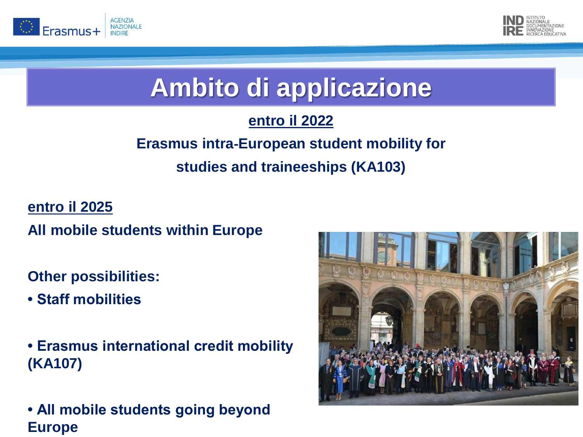



### **Ambito di applicazione**

#### **entro il 2022**

#### **Erasmus intra**‐**European student mobility for studies and traineeships (KA103)**

**entro il 2025**

**All mobile students within Europe**

**Other possibilities:**

- **Staff mobilities**
- **Erasmus international credit mobility (KA107)**
- **All mobile students going beyond Europe**

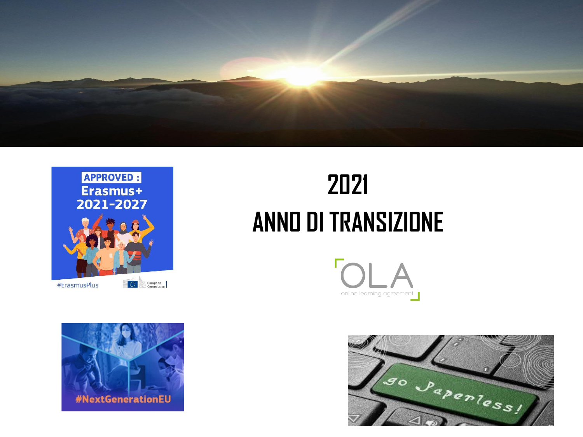





# **2021 ANNO DI TRANSIZIONE**



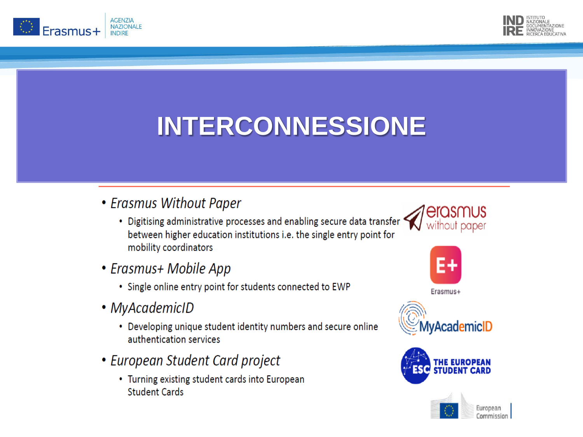



## **INTERCONNESSIONE**

- Erasmus Without Paper
	- Digitising administrative processes and enabling secure data transfer between higher education institutions i.e. the single entry point for mobility coordinators
- Erasmus+ Mobile App
	- Single online entry point for students connected to EWP
- MyAcademicID
	- Developing unique student identity numbers and secure online authentication services
- European Student Card project
	- Turning existing student cards into European **Student Cards**